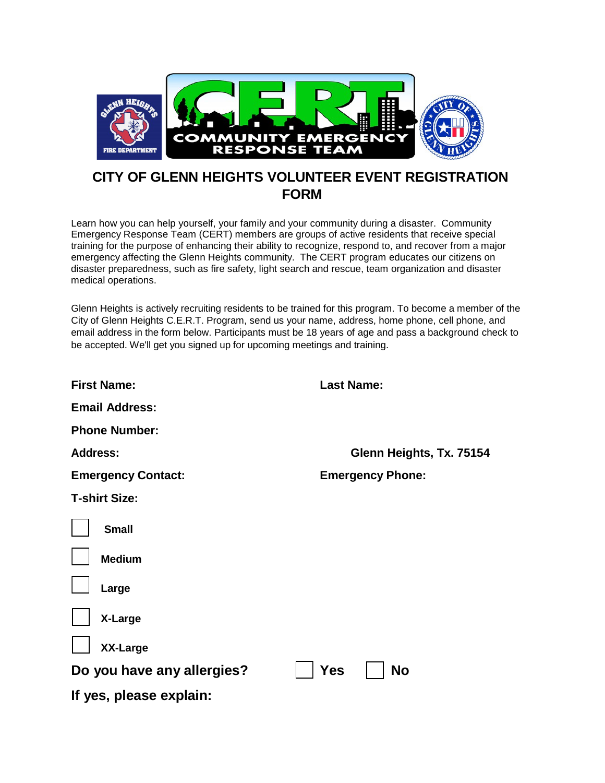

## **CITY OF GLENN HEIGHTS VOLUNTEER EVENT REGISTRATION FORM**

Learn how you can help yourself, your family and your community during a disaster. Community Emergency Response Team (CERT) members are groups of active residents that receive special training for the purpose of enhancing their ability to recognize, respond to, and recover from a major emergency affecting the Glenn Heights community. The CERT program educates our citizens on disaster preparedness, such as fire safety, light search and rescue, team organization and disaster medical operations.

Glenn Heights is actively recruiting residents to be trained for this program. To become a member of the City of Glenn Heights C.E.R.T. Program, send us your name, address, home phone, cell phone, and email address in the form below. Participants must be 18 years of age and pass a background check to be accepted. We'll get you signed up for upcoming meetings and training.

| <b>First Name:</b>         | <b>Last Name:</b>        |  |  |  |  |
|----------------------------|--------------------------|--|--|--|--|
| <b>Email Address:</b>      |                          |  |  |  |  |
| <b>Phone Number:</b>       |                          |  |  |  |  |
| <b>Address:</b>            | Glenn Heights, Tx. 75154 |  |  |  |  |
| <b>Emergency Contact:</b>  | <b>Emergency Phone:</b>  |  |  |  |  |
| <b>T-shirt Size:</b>       |                          |  |  |  |  |
| <b>Small</b>               |                          |  |  |  |  |
| <b>Medium</b>              |                          |  |  |  |  |
| Large                      |                          |  |  |  |  |
| X-Large                    |                          |  |  |  |  |
| <b>XX-Large</b>            |                          |  |  |  |  |
| Do you have any allergies? | No<br>Yes                |  |  |  |  |
| If yes, please explain:    |                          |  |  |  |  |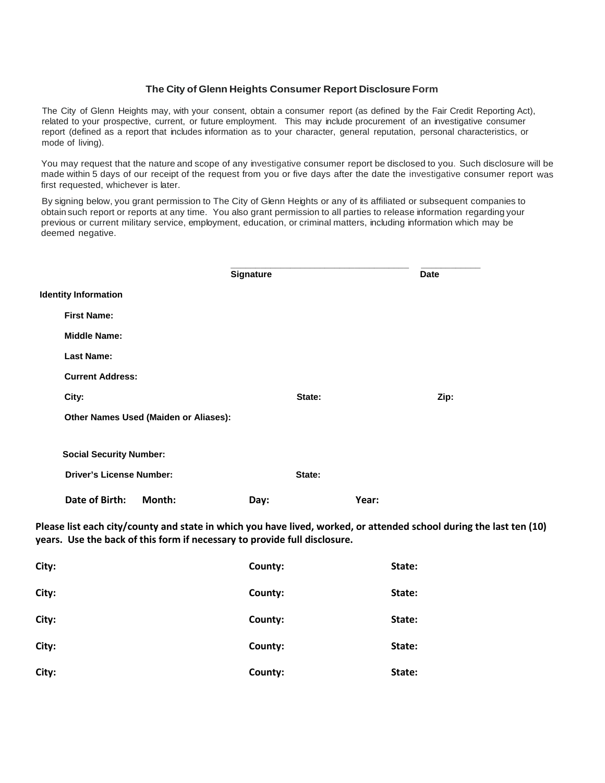## **The City of Glenn Heights Consumer Report Disclosure Form**

The City of Glenn Heights may, with your consent, obtain a consumer report (as defined by the Fair Credit Reporting Act), related to your prospective, current, or future employment. This may include procurement of an investigative consumer report (defined as a report that includes information as to your character, general reputation, personal characteristics, or mode of living).

You may request that the nature and scope of any investigative consumer report be disclosed to you. Such disclosure will be made within 5 days of our receipt of the request from you or five days after the date the investigative consumer report was first requested, whichever is later.

By signing below, you grant permission to The City of Glenn Heights or any of its affiliated or subsequent companies to obtain such report or reports at any time. You also grant permission to all parties to release information regarding your previous or current military service, employment, education, or criminal matters, including information which may be deemed negative.

|                                       | Signature |        |       | Date |
|---------------------------------------|-----------|--------|-------|------|
| <b>Identity Information</b>           |           |        |       |      |
| <b>First Name:</b>                    |           |        |       |      |
| <b>Middle Name:</b>                   |           |        |       |      |
| <b>Last Name:</b>                     |           |        |       |      |
| <b>Current Address:</b>               |           |        |       |      |
| City:                                 |           | State: |       | Zip: |
| Other Names Used (Maiden or Aliases): |           |        |       |      |
| <b>Social Security Number:</b>        |           |        |       |      |
| <b>Driver's License Number:</b>       |           | State: |       |      |
| Date of Birth:<br>Month:              | Day:      |        | Year: |      |

**Please list each city/county and state in which you have lived, worked, or attended school during the last ten (10) years. Use the back of this form if necessary to provide full disclosure.**

| City: | County: | State: |
|-------|---------|--------|
| City: | County: | State: |
| City: | County: | State: |
| City: | County: | State: |
| City: | County: | State: |